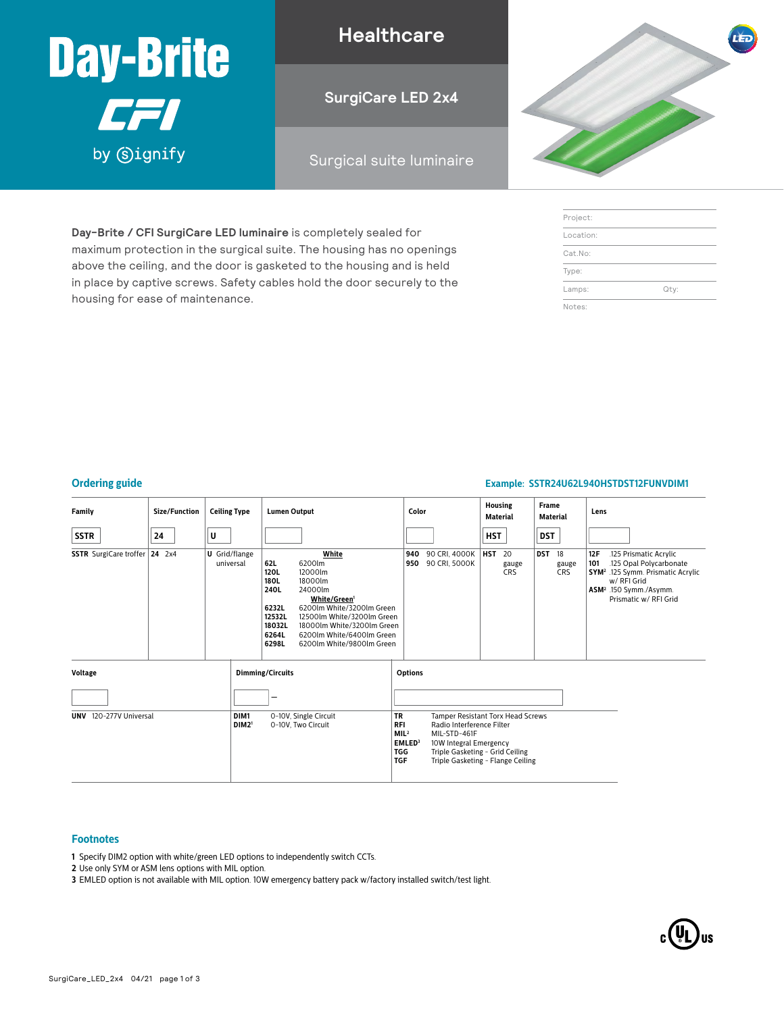

housing for ease of maintenance.

**Day-Brite / CFI SurgiCare LED luminaire** is completely sealed for maximum protection in the surgical suite. The housing has no openings above the ceiling, and the door is gasketed to the housing and is held in place by captive screws. Safety cables hold the door securely to the

**Healthcare**

**SurgiCare LED 2x4**

### Surgical suite luminaire



| Project:  |      |
|-----------|------|
| Location: |      |
| Cat.No:   |      |
| Type:     |      |
| Lamps:    | Qty: |
| Notes:    |      |

#### **Ordering guide Example: SSTR24U62L940HSTDST12FUNVDIM1**

| <b>Family</b>                                       | Size/Function | <b>Ceiling Type</b>               |                                             | <b>Lumen Output</b>                                                        |                                                                                                                                                                                                                                                                                   |            | Color                          |                  | <b>Housing</b><br><b>Material</b> |            | <b>Frame</b><br>Material  | Lens                                                                                                                                                                                           |
|-----------------------------------------------------|---------------|-----------------------------------|---------------------------------------------|----------------------------------------------------------------------------|-----------------------------------------------------------------------------------------------------------------------------------------------------------------------------------------------------------------------------------------------------------------------------------|------------|--------------------------------|------------------|-----------------------------------|------------|---------------------------|------------------------------------------------------------------------------------------------------------------------------------------------------------------------------------------------|
| <b>SSTR</b>                                         | 24            | U                                 |                                             |                                                                            |                                                                                                                                                                                                                                                                                   |            |                                | HST              |                                   | DST        |                           |                                                                                                                                                                                                |
| <b>SSTR</b> SurgiCare troffer                       | $24$ 2x4      | <b>U</b> Grid/flange<br>universal |                                             | 62L<br>120L<br>180L<br>240L<br>6232L<br>12532L<br>18032L<br>6264L<br>6298L | White<br>6200lm<br>12000lm<br>18000lm<br>24000lm<br>White/Green <sup>1</sup><br>6200lm White/3200lm Green<br>12500lm White/3200lm Green<br>18000lm White/3200lm Green<br>6200lm White/6400lm Green<br>6200lm White/9800lm Green                                                   | 940<br>950 | 90 CRI, 4000K<br>90 CRI, 5000K | <b>HST</b><br>20 | gauge<br><b>CRS</b>               | <b>DST</b> | 18<br>gauge<br><b>CRS</b> | 12F<br>.125 Prismatic Acrylic<br>.125 Opal Polycarbonate<br>101<br>SYM <sup>2</sup> .125 Symm. Prismatic Acrylic<br>w/ RFI Grid<br>ASM <sup>2</sup> .150 Symm./Asymm.<br>Prismatic w/ RFI Grid |
| <b>Voltage</b>                                      |               |                                   | <b>Dimming/Circuits</b>                     |                                                                            | <b>Options</b>                                                                                                                                                                                                                                                                    |            |                                |                  |                                   |            |                           |                                                                                                                                                                                                |
|                                                     |               |                                   |                                             |                                                                            |                                                                                                                                                                                                                                                                                   |            |                                |                  |                                   |            |                           |                                                                                                                                                                                                |
| UNV 120-277V Universal<br>DIM1<br>DIM2 <sup>1</sup> |               |                                   | 0-10V, Single Circuit<br>0-10V, Two Circuit |                                                                            | <b>TR</b><br>Tamper Resistant Torx Head Screws<br><b>RFI</b><br>Radio Interference Filter<br>MIL <sup>2</sup><br>MIL-STD-461F<br>EMLED <sup>3</sup><br>10W Integral Emergency<br><b>TGG</b><br>Triple Gasketing - Grid Ceiling<br><b>TGF</b><br>Triple Gasketing - Flange Ceiling |            |                                |                  |                                   |            |                           |                                                                                                                                                                                                |

### **Footnotes**

- **1** Specify DIM2 option with white/green LED options to independently switch CCTs.
- **2** Use only SYM or ASM lens options with MIL option.
- **3** EMLED option is not available with MIL option. 10W emergency battery pack w/factory installed switch/test light.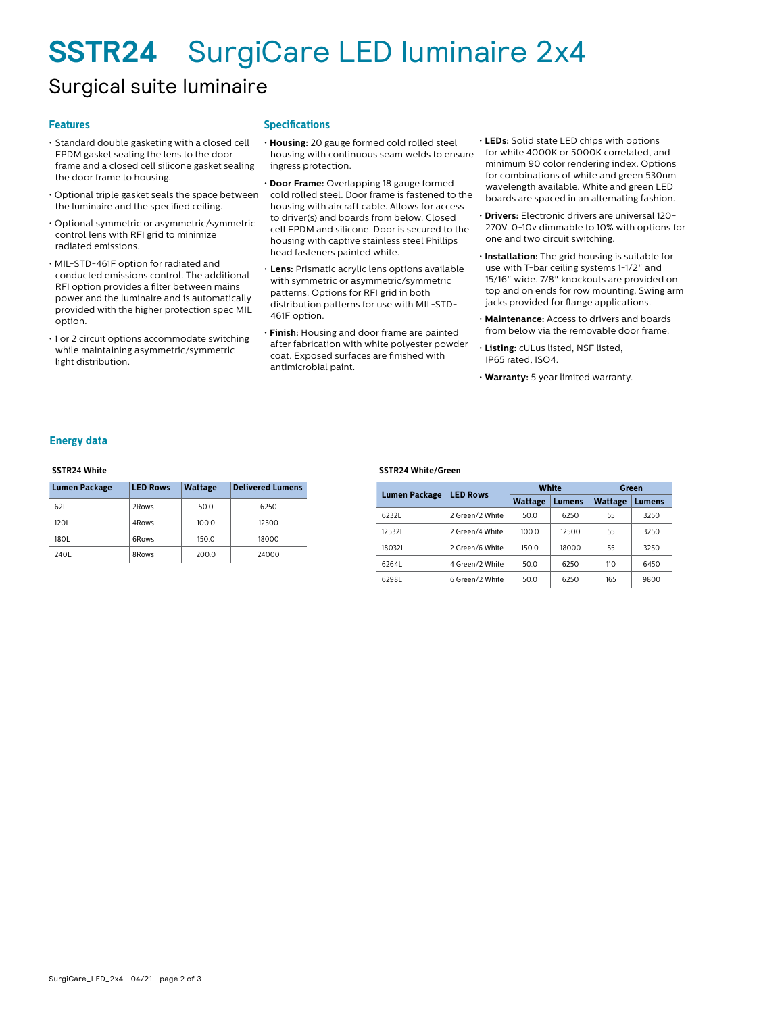## **SSTR24** SurgiCare LED luminaire 2x4

## Surgical suite luminaire

#### **Features**

- Standard double gasketing with a closed cell EPDM gasket sealing the lens to the door frame and a closed cell silicone gasket sealing the door frame to housing.
- Optional triple gasket seals the space between the luminaire and the specified ceiling.
- Optional symmetric or asymmetric/symmetric control lens with RFI grid to minimize radiated emissions.
- MIL-STD-461F option for radiated and conducted emissions control. The additional RFI option provides a filter between mains power and the luminaire and is automatically provided with the higher protection spec MIL option.
- 1 or 2 circuit options accommodate switching while maintaining asymmetric/symmetric light distribution.

#### **Specifications**

- **Housing:** 20 gauge formed cold rolled steel housing with continuous seam welds to ensure ingress protection.
- **Door Frame:** Overlapping 18 gauge formed cold rolled steel. Door frame is fastened to the housing with aircraft cable. Allows for access to driver(s) and boards from below. Closed cell EPDM and silicone. Door is secured to the housing with captive stainless steel Phillips head fasteners painted white.
- **Lens:** Prismatic acrylic lens options available with symmetric or asymmetric/symmetric patterns. Options for RFI grid in both distribution patterns for use with MIL-STD-461F option.
- **Finish:** Housing and door frame are painted after fabrication with white polyester powder coat. Exposed surfaces are finished with antimicrobial paint.
- **LEDs:** Solid state LED chips with options for white 4000K or 5000K correlated, and minimum 90 color rendering index. Options for combinations of white and green 530nm wavelength available. White and green LED boards are spaced in an alternating fashion.
- **Drivers:** Electronic drivers are universal 120- 270V. 0-10v dimmable to 10% with options for one and two circuit switching.
- **Installation:** The grid housing is suitable for use with T-bar ceiling systems 1-1/2" and 15/16" wide. 7/8" knockouts are provided on top and on ends for row mounting. Swing arm jacks provided for flange applications.
- **Maintenance:** Access to drivers and boards from below via the removable door frame.
- **Listing:** cULus listed, NSF listed, IP65 rated, ISO4.
- **Warranty:** 5 year limited warranty.

#### **Energy data**

#### **SSTR24 White**

| <b>Lumen Package</b> | <b>LED Rows</b> | <b>Wattage</b> | <b>Delivered Lumens</b> |  |  |
|----------------------|-----------------|----------------|-------------------------|--|--|
| 621                  | 2Rows           | 50.0           | 6250                    |  |  |
| 120L                 | 4Rows           | 100.0          | 12500                   |  |  |
| 180L                 | 6Rows           | 150.0          | 18000                   |  |  |
| 240L                 | 8Rows           | 200.0          | 24000                   |  |  |

#### **SSTR24 White/Green**

| Lumen Package | <b>LED Rows</b> |                | White  | Green          |        |  |
|---------------|-----------------|----------------|--------|----------------|--------|--|
|               |                 | <b>Wattage</b> | Lumens | <b>Wattage</b> | Lumens |  |
| 6232L         | 2 Green/2 White | 50.0           | 6250   | 55             | 3250   |  |
| 125321        | 2 Green/4 White | 100.0          | 12500  | 55             | 3250   |  |
| 180321        | 2 Green/6 White | 150.0          | 18000  | 55             | 3250   |  |
| 6264L         | 4 Green/2 White | 50.0           | 6250   | 110            | 6450   |  |
| 6298L         | 6 Green/2 White | 50.0           | 6250   | 165            | 9800   |  |